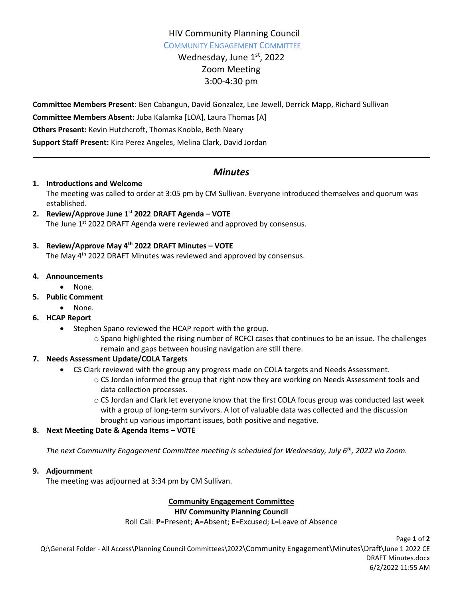## HIV Community Planning Council COMMUNITY ENGAGEMENT COMMITTEE

Wednesday, June 1st, 2022 Zoom Meeting 3:00-4:30 pm

**Committee Members Present**: Ben Cabangun, David Gonzalez, Lee Jewell, Derrick Mapp, Richard Sullivan **Committee Members Absent:** Juba Kalamka [LOA], Laura Thomas [A] **Others Present:** Kevin Hutchcroft, Thomas Knoble, Beth Neary **Support Staff Present:** Kira Perez Angeles, Melina Clark, David Jordan

# *Minutes*

### **1. Introductions and Welcome**

The meeting was called to order at 3:05 pm by CM Sullivan. Everyone introduced themselves and quorum was established.

**2. Review/Approve June 1st 2022 DRAFT Agenda – VOTE**  The June 1<sup>st</sup> 2022 DRAFT Agenda were reviewed and approved by consensus.

### **3. Review/Approve May 4th 2022 DRAFT Minutes – VOTE**

The May 4<sup>th</sup> 2022 DRAFT Minutes was reviewed and approved by consensus.

#### **4. Announcements**

- None.
- **5. Public Comment**
	- None.
- **6. HCAP Report**
	- Stephen Spano reviewed the HCAP report with the group.
		- $\circ$  Spano highlighted the rising number of RCFCI cases that continues to be an issue. The challenges remain and gaps between housing navigation are still there.

### **7. Needs Assessment Update/COLA Targets**

- CS Clark reviewed with the group any progress made on COLA targets and Needs Assessment.
	- $\circ$  CS Jordan informed the group that right now they are working on Needs Assessment tools and data collection processes.
	- $\circ$  CS Jordan and Clark let everyone know that the first COLA focus group was conducted last week with a group of long-term survivors. A lot of valuable data was collected and the discussion brought up various important issues, both positive and negative.

### **8. Next Meeting Date & Agenda Items – VOTE**

*The next Community Engagement Committee meeting is scheduled for Wednesday, July 6th , 2022 via Zoom.*

### **9. Adjournment**

The meeting was adjourned at 3:34 pm by CM Sullivan.

## **Community Engagement Committee**

### **HIV Community Planning Council**

Roll Call: **P**=Present; **A**=Absent; **E**=Excused; **L**=Leave of Absence